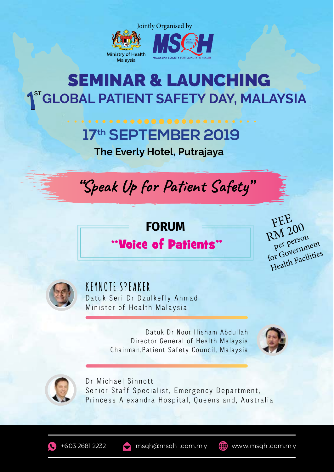

### **ST GLOBAL PATIENT SAFETY DAY, MALAYSIA** SEMINAR & LAUNCHING

## **17th SEPTEMBER 2019**

**The Everly Hotel, Putrajaya**



#### **FORUM**

#### "Voice of Patients"

FEE RM 200 for Government Health Facilities per person



**KEYNOTE SPEAKER** Datuk Seri Dr Dzulkefly Ahmad Minister of Health Malaysia

> Datuk Dr Noor Hisham Abdullah Director General of Health Malaysia Chairman,Patient Safety Council, Malaysia





Dr Michael Sinnott Senior Staff Specialist, Emergency Department, Princess Alexandra Hospital, Queensland, Australia

+603 2681 2232 msqh@msqh .com.m y  $\Box$  www.msqh .com.m y

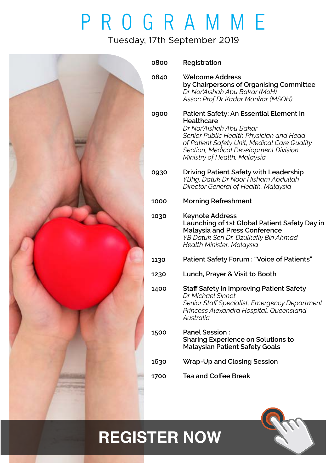# PROGRAMME

#### Tuesday, 17th September 2019



| 0800 | Registration                                                                                                                                                                                                                                                 |
|------|--------------------------------------------------------------------------------------------------------------------------------------------------------------------------------------------------------------------------------------------------------------|
| 0840 | <b>Welcome Address</b><br>by Chairpersons of Organising Committee<br>Dr Nor'Aishah Abu Bakar (MoH)<br>Assoc Prof Dr Kadar Marikar (MSQH)                                                                                                                     |
| 0900 | Patient Safety: An Essential Element in<br><b>Healthcare</b><br>Dr Nor'Aishah Abu Bakar<br>Senior Public Health Physician and Head<br>of Patient Safety Unit, Medical Care Quality<br>Section, Medical Development Division,<br>Ministry of Health, Malaysia |
| 0930 | <b>Driving Patient Safety with Leadership</b><br>YBhg. Datuk Dr Noor Hisham Abdullah<br>Director General of Health, Malaysia                                                                                                                                 |
| 1000 | <b>Morning Refreshment</b>                                                                                                                                                                                                                                   |
| 1030 | <b>Keynote Address</b><br>Launching of 1st Global Patient Safety Day in<br><b>Malaysia and Press Conference</b><br>YB Datuk Seri Dr. Dzulkefly Bin Ahmad<br>Health Minister, Malaysia                                                                        |
| 1130 | <b>Patient Safety Forum: "Voice of Patients"</b>                                                                                                                                                                                                             |
| 1230 | Lunch, Prayer & Visit to Booth                                                                                                                                                                                                                               |
| 1400 | <b>Staff Safety in Improving Patient Safety</b><br>Dr Michael Sinnot<br>Senior Staff Specialist, Emergency Department<br>Princess Alexandra Hospital, Queensland<br>Australia                                                                                |
| 1500 | <b>Panel Session:</b><br><b>Sharing Experience on Solutions to</b><br><b>Malaysian Patient Safety Goals</b>                                                                                                                                                  |
| 1630 | <b>Wrap-Up and Closing Session</b>                                                                                                                                                                                                                           |
| 1700 | <b>Tea and Coffee Break</b>                                                                                                                                                                                                                                  |
|      |                                                                                                                                                                                                                                                              |

## **[REGISTER NOW](https://www.cognitoforms.com/MalaysianSocietyForQualityInHealth/RegistrationFormSeminarLaunching1stGlobalPatientSafetyDayMalaysia)**